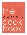# — ||<br>| ı

### Philadelphia Chapter of the Association of Legal Administrators

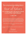### The only real stumbling block is fear of failure In cooking you've got to have a what-the-hell attitude.

### —Julia Child

Julia had it right, except that not just in cooking but in lifeespecially life in 2020—we cannot be afraid to fail. And when we are what gives us the strength to move forward is knowing that our family, our friends, our peers, and our *association* are there for us...to guide and support us. It's a wonderful thing.

What better way to celebrate each other than sharing a recipe.

Thanks to all who participated in making this cookbook such a success.

Enjoy!

Kathy, Krista & Maureen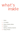# what's inside

- i Apps
- ii Cocktails
- iii Soups, Salads, Sides
- iv Entrees
- v Baking, Desserts, Sweets
- vi Puppy Treats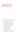apps

- 1 BLT Cherry Tomatoes
- 2 Bourbon Hot Dogs
- 3 Cheesy Bacon Dip
- 4 Cheesesteak Dip
- 5 Spinach Balls
- 6 Tortilla Roll Ups
- 7 Valdalia Onion Dip

i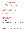## BLT Cherry Tomatoes

from Kathy Remetta (from Rachel Ray)

| prep time | cook time         | serves |
|-----------|-------------------|--------|
| 30 mins   | $10 \text{ mins}$ | 10     |

### things you need

2 pints cherry tomatoes 6 slices bacon 1/2 c mayonnaise 1 chipotle chile in adobo sauce, finely chopped 1 c very finely chopped romaine lettuce leaves from the heart

- 1 Cut off the stem ends of the tomatoes and discard. Using a paring knife, remove the seeds and discard; place the tomatoes cut side down on paper towels to drain.
- 2 Meanwhile, in a heavy skillet, over medium heat, cook the bacon until crisp. Drain on a paper-towel-lined plate, then finely chop.
- 3 Stir together the mayonnaise and chipotle and spoon into a resealable bag. Cut off the tip of one corner.
- 4 Place the tomatoes cut side up on a platter and press some romaine inside each tomato; sprinkle with salt. Pipe some chipotle mayo over the romaine and top with bacon.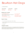# Bourbon Hot Dogs

from Kathy Remetta

| prep time | cook time | serves |
|-----------|-----------|--------|
| 10 mins   | 45 mins   | lots   |

#### things you need

2 lbs cocktail hot dogs

Don't use Lil Smokies. You can also use regular hot dogs, but cut them up bite sized

1 1/2 c ketchup

1 med onion finely chopped

1/2 c brown sugar 3/4 c bourbon 1/2 tsp dried rosemary 1/2 tsp dried oregano

### here's how

- 1 Place all ingredients in large saucepan. Stir to combine.
- 2 Bring to a boil, stirring frequently. Reduce heat and let simmer about 45 minutes till sauce is thick and syrupy.
- 3 Serve warm.

### helpful notes

I serve this in a fondue pot to keep it warm. You're supposed to eat them with toothpicks, but people always take a spoonful! I think these are better the longer they sit. I typically make in the morning and then turn them off and back on throughout the day until the party starts. I make extra cause everyone steals them off the stove!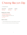# Cheesy Bacon Dip

from Margie Sigmund

prep time 10 mins cook time 30 mins serves lots

#### things you need

2 8 oz bars of cream cheese 1 8 oz bag of shredded cheese your preference, mozzarella, sharp, cheddar, swiss.. 3 - 4 tbsp mayonnaise bacon bits

- 1 Combine all ingredients except bacon bits, then sprinkle bacon bits on top.
- 2 Place in oven uncovered and let bake for 30 minutes at 350 degrees.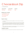## Cheesesteak Dip

from Margie Sigmund

| prep time | cook time | serves |
|-----------|-----------|--------|
| 10 mins   | 30 mins   | lots   |

#### things you need

2 lbs cheesesteak meat 2 lbs American cheese 10 - 12 oz beef broth onion powder

#### here's how

- 1 Cut up the cheesesteak meat as small as possible and cook it on the stove. Drain grease when finished.
- 2 Put crock pot on high and add beef broth. Start with about 10 oz of beef broth and sprinkle in onion powder (onion powder optional) to cover the top of the broth. You can start with a little and then always add more later if you think it needs it. Layer the cooked meat and cheese in the crock pot. Use about 1 1/4 - 1 1/2 pounds of cheese, but save some until the end.
- 3 Allow it to melt and stir occasionally. Once it melts, add the rest of the cheese gradually and continue stirring until you think it has a good dip consistency.

### helpful notes

If you think it's too thick you can always add more beef broth. Enjoy dip with cut up bread.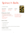# Spinach Balls

from Maureen Austin

prep time  $10 \text{ mins} +$ chill 1 hr

cook time 20 mins

things you need

2 10 oz boxes chopped spinach cook as directed on box and drain well 2 c Pepperidge Farms crushed breadcrumbs 1 sm onion, grated 4 eggs, beaten

serves lots



3/4 c melted butter 1/2 c parmesan cheese 1/2 tsp garlic powder 1/4 tsp black pepper

### here's how

- 1 Mix all ingredients together.
- 2 Chill for at least 1 hour.
- 3 Shape into balls.
- 4 Placed on greased cookie sheet and bake for 20 minutes at 350 degrees.

### helpful notes

Can be made ahead of time and frozen.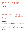## Tortilla Rollups

from Margie Sigmund

prep time 10 mins

cook time 1 hr fridge

serves lots

### things you need

2 8 oz pkgs softened cream cheese or 2 containers of whipped cream cheese 2 green peppers, diced 2 - 3 bunches green onions, diced 2 8 oz pkgs grated or shredded cheddar or taco cheese don't use the finely grated

#### 1 or 2 pkgs tortillas

1 package if using larger tortillas; 2 packages if using the smaller

1 jar salsa or picante sauce optional

#### here's how

- 1 Spread cream cheese on tortilla. Top lightly with green peppers, green onions, and cheese.
- 2 Roll up the tortilla (wrap in saran/plastic wrap to help them stay together).
- 3 Refrigerate for at least a few hours (better for slicing if refrigerated for a bit).
- 4 When ready to serve, slice tortillas in one inch strips and serve with salsa or picante sauce for dipping.

### helpful notes

I prefer using the larger tortillas (less tortillas to roll up and wrap).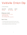# Valdalia Onion Dip

from Tracy McFadden

prep time cook time serves 10 mins 34 - 45 mins lots

### things you need

8 oz pkg softened lite cream cheese 3 tsp lite mayonnaise 3/4 c parmesan cheese 2 sm or 1 lg Vidalia onion chopped fine

- 1 Mix all ingredients together reserving a little of the parmesan cheese.
- 2 Place in casserole dish and sprinkle remaining parmesan cheese on top.
- 3 Bake at 350 degrees for 35-45 minutes. Serve with crackers.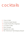# cocktails

- 8 Choco-Chello
- 9 Cinnamon Apple Sangria
- 10 Coquito (Puerto Rican Eggnog)
- 11 Cucumber Collins
- 12 Peach Sangria
- 13 Sapphire Gin Collins
- 14 The "Old School" Hemmingway Daiquiri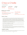### Choco-Chello

from Kathy Remetta

| prep time | cook time           | serves   |
|-----------|---------------------|----------|
| 10 mins   | $30 \text{ mins} +$ | $6 - 12$ |
|           | 13 hrs inactive     |          |

### things you need

6 1/2 c sugar 10 1/2 oz unsweetened cocoa powder I use 1/2 Hershey's and 1/2 Ghirardelli 1/2 gallon whole milk

1 tsp vanilla extract 17 oz grain alcohol I use Everclear 12 8.5 oz bottles or 6 16 oz bottles

### here's how

- In a tall pot, combine the cocoa and sugar with a whisk. Add milk a little at a time, stirring as you go. Place the pot over medium heat on the stove, stirring constantly. After a few minutes, foam will form on the surface. (If you still don't see foam, increase the heat a bit.) Continue stirring constantly until the foam disappears. It will take about 25-30 minutes from the time you first placed the pot on the stove. (If the foam hasn't disappeared completely after 30 minutes, you can use a slotted spoon to scrape off the foam and discard it.) The mixture will look like chocolate pudding that hasn't set.
- $2$  Turn off the heat and set the pot on a different burner to cool for 30-60 minutes before placing it, covered, in the refrigerator for 12 hours.
- 3 After the chocolate mixture has chilled, stir in the vanilla. Then, after one hour (the pot can stay out during that time) stir in the alcohol.
- $2<sup>7</sup>$  To fill each bottle, place a funnel in it and ladle in enough liqueur to fill it almost to the top. Cap or cork your bottles and store them in the refrigerator for up to six months or in the freezer for longer. Thaw frozen liqueur in the refrigerator.

### helpful notes

This makes a great gift. I keep in the freezer and pour straight from there. Delicious on its own or over ice cream. Careful! It's so yummy—it can sneak up on you!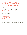### Cinnamon Apple Sangria (Winter)

from Grace O'Brien

| prep time | cook time | serves |
|-----------|-----------|--------|
| 10 mins   | 1 hr      | 10     |

#### things you need

6 apples 3 pears 750 ml Fireball whiskey 1 750 ml bottle Pinot Grigio 64 oz apple cider 1 liter seltzer water

- 1 Chop up the fruit and let it soak for an hour or more in the fridge with the Fireball. Add rest of ingredients and stir.
- 2 Enjoy!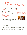### **Coquito** Puerto Rican Eggnog

from Orlando Quinones (Cort)

prep time cook time serves 5 mins

### things you need

#### 6 lg egg yolks

the traditional version of Coquito includes egg yolks but there are versions that omit the eggs

- 1 tbsp cinnamon
- 2 oz pure vanilla extract
- 1 15 oz can cream of coconut

### here's how

- Beat eggs thoroughly, strain into a very large bowl or pot.
- 2 Add cinnamon and vanilla extract, beat well.
- 3 Add cream of coconut, cans of milk and rum, blend well.
- 4 Add more cinnamon, vanilla or rum to taste. Strain again as you pour into bottles. Shake well before serving and serve chilled. Keep refrigerated!

### helpful notes

Coquito (Koh-kee-toh) meaning "Little Coconut" in Spanish. Coquito is a traditional Holiday drink that originated in Puerto Rico. The coconut-based alcoholic beverage is similar to eggnog, sometimes being called the Puerto Rican Eggnog. There are many versions of Coquito but the base ingredients of this popular holiday drink would always be coconut milk, sweetened condensed milk, cinnamon and rum. I can't ever remember not having Coquito during the Holidays. It's also not that uncommon to have a few different bottles of Coquito in your fridge given to you as a gift from family and friends and their spin on the recipe.

makes 1 gallon

- 1 can sweetened condensed milk
- 5 cans unsweetened evaporated milk
- 1 can unsweetened coconut milk
- 1.5 liters Puerto Rican Rum (white)

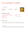### Cucumber Collins

from Judy Stouffer

prep time 5 mins cook time serves 1



### things you need

3 - 5 slices thinly-sliced cucumber 2 - 3 thai basil leaves or 2 - 3 slices fresh jalapeño 1.5 tbsp lime juice 1 tbsp lemon juice

1.5 tbsp simple syrup\* 2 oz gin 2 oz club soda/seltzer

### here's how

- 1 Muddle cucumber with basil/jalapeño, lemon-lime juices and simple syrup. Add the gin and club soda/seltzer - shake to combine and pour over ice. Be careful; they seem harmless, but
- Simple Syrup:

Can be purchased or made by boiling 1 cup of sugar with 1 cup of water until the sugar dissolves completely. This can also be used to make homemade lemonade. Cool before using;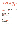### Peach Sangria (Summer)

from Grace O'Brien

| prep time | cook time | serves |
|-----------|-----------|--------|
| 10 mins   | 1 hr      | 10     |

### things you need

1 c peaches I like to use canned and include the juice 1 c chopped strawberries 2 750 ml bottles of Pinot Grigio or Moscato 1 c peach brandy I prefer Jaquins 1 liter white grape juice

### here's how

1 Combine all ingredients, stir and enjoy!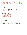### Sapphire Gin Collins

from Kathy Remetta

| prep time | cook time | serves |
|-----------|-----------|--------|
| 5 mins    |           |        |

#### things you need

1 3/4 oz Bombay Sapphire gin 1/2 oz freshly squeezed lemon juice 1/2 oz homemade simple syrup 2 oz club soda 1 lemon wedge

- 1 Measure all ingredients (except the soda) into a cocktail shaker.
- $2^{\circ}$  Shake with ice cubes for 5 seconds, then pour entire contents into a glass.
- 3 Top with club soda, Add lemon wedge. Enjoy!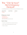### The "Old School" Hemmingway **Daiquiri**

from Gil Marquez (recipe was created for or by Papa at El Floridita Bar in Havana)

prep time 3 mins cook time serves 1

### things you need

- 3 parts white rum
- 2 parts fresh lime juice
- 1 part simple syrup

optional: 1 part maraschino liqueur like Luxardo

- 1 Pour all into a cocktail shaker with ice and shake for 30 seconds.
- 2 Strain in a chilled coupe glass garnished with a lime wheel.
- 3 Repeat, as necessary.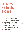# soups salads sides

- 15 Asparagus & Cheese Tart
- 16 Authentic Cuban Black Beans
- 17 Barbara Bush's Green Beans
- 18 Braised Red Potatoes with Lemon & Chives
- 19 Brandy Glazed Carrots
- 20 Brown Butter Brussel Sprouts
- 21 Caesar Salad
- 22 Corn Pudding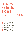# soups salads sides ...continued

- 23 French Onion Soup
- 24 Maple Roasted Carrot Salad
- 25 Mashed Cauliflower
- 26 Pineapple Stuffing
- 27 Sausage Stuffing
- 28 Turkey Sausage Soup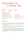### Asparagus & Cheese Tart

from Joan Wean

| prep time | cook time        |
|-----------|------------------|
| 20 mins   | $30 \text{ min}$ |

serves 6

### things you need

1 lb asparagus, trimmed 1 sheet frozen puff pastry (1/2 lb) thawed, all purpose flour for dusting 1 c fontina cheese (about 3 oz) 1 c grated comte or gruyere Cheese (about 3 oz)

2 large egg yolks 3 tbsp whole milk 1/8 tsp freshly grated nutmeg kosher salt & fresh ground pepper 2 tsp EVOO 1/2 tsp finely grated lemon zest

1 tbsp minced shallot

- 1 Fill a large bowl with ice water. Bring about 1 inch of water to a boil in a large skillet. Add the asparagus; cook until bright green and crisp-tender, 2 to 5 minutes, depending on the thickness of the asparagus. Drain and transfer to the ice water to stop the cooking; drain and pat dry. Preheat the oven to 400°.
- 2 Roll out the puff pastry into a 10-by-16 inch rectangle on a floured surface. Transfer to a parchment-lined baking sheet and prick all over with a fork. Bake until light golden brown, about 12 minutes. Let cool slightly on the baking sheet.
- 3 Meanwhile, mix the fontina, comte or gruyere, shallot, egg yolks, milk, nutmeg and a pinch each of salt and pepper in a bowl until combined. Spread the cheese mixture evenly over the puff pastry, leaving a 1-inch border on all sides. Toss the asparagus with the olive oil, 1/4 teaspoon salt, and pepper to taste. Arrange the asparagus on the tart and bake until the cheese mixture is slightly puffy, 15 to 20 minutes. Sprinkle with the lemon zest. Serve warm or at room temperature.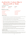### Authentic Cuban Black Beans with a Twist

from Brooks Ryan (Epiq)

| prep time | cook time        | serves |
|-----------|------------------|--------|
| 20 mins   | $90 \text{ min}$ | 10     |

#### things you need

1 16 oz bag of dry black beans 2 red peppers 1 red onion 3/4 c EVOO 7 cloves of garlic 1 tbsp cilantro (dry)

1 - 1 1/2 tsp salt to taste 1/2 tsp black pepper 1/4 tsp cumin 1/3 c red wine 1 tbsp sugar 2 bay leaves

#### here's how

- 1 Lay the bag of dry beans out on a paper towel to make sure there are no stones mixed in before cooking.
- $2<sub>1</sub>$  Fill the pressure cooker with 8 cups of water and cook the dry beans for 18 minutes.
- 3 I prep and chop everything while the beans are cooking. Chop up two red peppers and one red onion. We like them chopped, but you can dice. Put them aside, together.
- 4 With a mortar and pestle crush the garlic, cilantro, salt, pepper, and cumin until you have a nice paste.
- 5 When the beans are done cooking and the pressure is released from the cooker drain the water and put it aside. You can start to sauté the pepper and onion in a pan with the oil.
- $6<sub>6</sub>$  When the onions are translucent and the peppers becomes soft, add the paste from the mortar and pestle. These ingredients need to be folded together (I use a large spoon) and thoroughly combined before you pour in the red wine. Let this simmer for 3 minutes before pouring in the drained black beans. After the beans are thoroughly mixed in, we then add the first ladle of the rich black bean water drained after cooking the beans and add the bay leaves.
- 7 The beans and the spices cook for about an hour while I continuously ladle in the bean water as it evaporates. I always want to have an inch or so of water in the bottom of the pan. This process goes on for at least an hour while the rest of your meal and rice are cooking.
- 8 Over time as the beans simmer and you ladle in the reserve black bean water an incredible rich dark bean sauce begins to develop that is almost like a gravy -- this is the key to making the best "batch."

#### helpful notes

These black bean are delicious when first cooked, but we have found they are even better a day or two afterwards warmed up with eggs for breakfast or a completely different dinner. Enjoy!!!

This recipe was shared with our family by my wife's sister's mother-in-law. Their family immigrated to the US from Cuba in the 60's and brought with them many of their wonderful recipes and elements of their rich Cuban culture. These are the real deal and are a staple at our house with many of our family favorites for breakfast, lunch or dinner.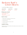### Barbara Bush's Green Beans

from Julie Power (Hilltop Consultants)

prep time cook time serves 10 mins 15 min  $4 - 6$ 

### things you need

4 tbsp unsalted butter head of garlic 2 lbs green beans, trimmed

### here's how

- 1 Melt the butter in a large skillet over medium-low heat.
- 2 Add the garlic and sauté until soft.
- 3 Add the green beans.
- 4 Cook on low, covered for 15 minutes, until soft.
- 3 Add salt and pepper.

### helpful notes

This side goes with my favorite Fall 2020 meal (Keto Salisbury steak (see entrees) and mashed cauliflower (see sides)).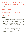### Braised Red Potatoes with Lemon & Chives

from Gil Marquez

| prep time | cook time | serves  |
|-----------|-----------|---------|
| 10 mins   | $45$ min  | $4 - 6$ |

### things you need

1 1/2 lbs small red potatoes unpeeled, halved 2 c water 3 tbsp unsalted butter 3 garlic cloves, peeled

3 sprigs fresh thyme 3/4 tsp salt 1 tsp lemon juice 1/4 tsp pepper 2 tbsp minced fresh chives

### here's how

- 1 Arrange potatoes in single layer, cut side down, in 12-inch nonstick skillet. Add water, butter, garlic, thyme, and salt and bring to simmer over medium-high heat. Reduce heat to medium, cover, and simmer until potatoes are just tender, about 15 minutes.
- 2 Remove lid and use slotted spoon to transfer garlic to cutting board; discard thyme. Increase heat to medium-high and vigorously simmer, swirling pan occasionally, until water evaporates, and butter starts to sizzle, 15 to 20 minutes. When cool enough to handle, mince garlic to paste. Transfer paste to bowl and stir in lemon juice and pepper.
- 3 Continue to cook potatoes, swirling pan frequently, until butter browns and cut sides of potatoes turn spotty brown, 4 to 6 minutes longer. Off heat, add garlic mixture and chives and toss to thoroughly coat. Serve immediately.

### helpful notes

I first learned this technique thanks to the America's Test Kitchen deceptively simple recipe for Braised Red Potatoes. I've adapted and applied it to other vegetables (including brussels sprouts, carrots, beets) and found it to be a wonderfully hands-off way of fixing a side dish.

For more savory potatoes, substitute stock (beef, chicken, or vegetable) for the water. For brussels sprouts, substitute finely minced bacon or pancetta for the butter. For carrots, add maple syrup or honey that will glaze the carrots as they finish.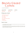## Brandy Glazed **Carrots**

from Jack Caulk (MCS)

| prep time | cook time        | serves |
|-----------|------------------|--------|
| 10 mins   | $30 \text{ min}$ |        |

#### things you need

3 lbs fresh baby carrots 1/2 c butter, cubed 1/2 c honey 1/4 c brandy 1/4 c minced fresh parsley 1/2 tsp salt 1/4 tsp pepper

- 1 In a large skillet, bring 1/2 inch of water to a boil. Add carrots. Cover and cook for 5-9 minutes or until crisp-tender. Drain and set aside.
- 2 In the same skillet, cook butter and honey over medium heat until butter is melted. Remove from heat; stir in brandy. Bring to a boil; cook until liquid is reduced to about 1/2 cup. Add the carrots, parsley, salt and pepper; heat through.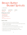## Brown Butter Brussel Sprouts

from Allison Sponic

| prep time | cook time        | serves |
|-----------|------------------|--------|
| 10 mins   | $30 \text{ min}$ |        |

#### things you need

2 tbsp salted butter 1 lb brussel sprouts trimmed and quartered 1/4 c chopped hazelnuts sea salt black pepper, freshly ground

- 1 Position rack in bottom third of the oven and preheat to 450° degrees.
- 2 Place butter in a rimmed baking sheet (or cake tin) and roast until the butter is melted, browned, and fragrant – about 4 to 5 minutes.
- 3 As it browns, combine brussels sprouts, hazelnuts, salt, and pepper.
- 4 Remove baking sheet from oven and pour over brussels sprout mixture. Stir to combine.
- 5 Spread mixture out on your baking sheet and return to oven for 7 minutes.
- 6 Sprinkle with water, toss and continue roasting until lightly browned, 7-10 minutes.
- 7 Best served straight out of the oven!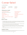### Caesar Salad

from Kathy Remetta

| prep time | cook time |
|-----------|-----------|
| 10 mins   |           |

serves  $4 - 6$ 

### things you need

1 head romaine lettuce washed and torn in bite sized pieces  $3/4$  c FVOO red wine vinegar 3 cloves garlic, crushed 1 egg 1/3 - 1/2 c grated parmesan reggiano cheese I use Locatelli

Worcestershire sauce 1 lemon, juiced dry mustard black pepper, freshly ground dry oregano croutons anchovies optional

### here's how

- 1 In a blender, add the crushed garlic, 1/3 c Locatelli, the juice from the lemon, a few dashes of the Worcestershire sauce, couple of shakes of dry oregano, about 8 shakes of the dry mustard, and a couple of good turns of the black pepper.
- 2 Boil water, remove from heat and add the egg (in its shell) to the water. Let it sit in the water a few minutes. Remove from the water and crack it into the blender.
- 3 Blend all and slowly drizzle in the EVOO through the top of the lid. Taste and adjust seasonings. I always need more dry mustard and black pepper. If you like it cheesier—add more cheese.
- 4 Toss the dressing with the lettuce. Sprinkle top with more cheese and the croutons.

### helpful notes

If you are leery of the raw egg, there are various ways to pasteurize it first. This is just the way I do it. I shred the anchovies on the side for those who like them.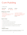### Corn Pudding

from Shaun Jones

| prep time | cook time      | serves  |
|-----------|----------------|---------|
| 10 mins   | $25 - 30$ mins | $4 - 6$ |

### things you need

8 oz sour cream 1 17 oz can whole kernel corn, drained 1 17 oz can cream style corn 2 eggs beaten 1/2 c sugar

here's how

- 1 Preheat oven to 425 degrees.
- 2 Mix all ingredients together except the eggs and butter.
- 3 Add melted butter and beaten eggs, folding gently.
- 4 Pour into a 2-quart casserole dish that has been sprayed with a vegetable spray.
- 5 Bake 25 to 30 minutes until light brown and till slightly moving when shaken.
- 6 Serve warm.

### helpful notes

I vary with my corn pudding. Sometimes I add 34 cups of sugar and no jalapenos. I sometimes mix honey and butter to create a spread for it. The jalapenos give it just a little kick.

1 box Jiffy Corn Muffin Mix 1 stick butter or margarine, melted 1 4 oz can chopped jalapeno peppers, drained Old El Paso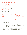### French Onion Soup

from Jen Warren

| prep time                                         | cook time | serv             |
|---------------------------------------------------|-----------|------------------|
| 15 mins                                           | 60 mins   | $4 - 6$          |
| things you need                                   |           |                  |
| 2 - 3 tbsp olive oil                              |           | $1/2$ ts         |
| 2 tbsp butter                                     |           | $1/2$ ts         |
| 6 lg yellow or Spanish onions - thinly            |           | 1/2c             |
| sliced                                            |           | 6 c of           |
| 1 tbsp sugar                                      |           | $4 - 8s$         |
| 1 tsp dried thyme or 5 sprigs fresh -<br>stripped |           | bread<br>toasted |
|                                                   |           |                  |

1 - 3 bay leaves

serves 4 - 6

p salt p black pepper sherry wine f beef broth slices of sourdough baguette d - 1 inch thick d first if desired

8 slices gruyere or mozzarella cheese or 2 c shredded

- 1 Preheat oven to 400 degrees.
- 2 Melt butter and oil together in large stock pot or Dutch oven over medium-high heat. Add onions and cook about 10 minutes, until onions are tender and golden brown. Then add sugar and cook another few minutes to help brown the onions even more. Then add thyme, bay leaf, salt, and pepper and cook a few more minutes. Add sherry wine and simmer until liquid is almost absorbed. Add the broth and bring mixture to a boil. Reduce heat to low, and partially cover and simmer 20 -25 minutes. Now preheat your oven to 400 degrees and preheat the broiler.
- 3 Remove bay leaf and ladle soup into oven-proof crocks. Place on baking sheet to make sure they are sturdy in the oven. Place bread rounds into each bowl and top the bread with the gruyere or mozzarella cheese. Broil 2-3 minutes, until the cheese is golden and bubbly.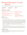### Maple Roasted Carrot Salad

from Kathleen Garrity (taken from Barefoot Contessa's book, *Cooking for Jeffrey)*

| prep time                                                                                                                                                                                  | cook time                               | serves                                                                                                                                                                                         |
|--------------------------------------------------------------------------------------------------------------------------------------------------------------------------------------------|-----------------------------------------|------------------------------------------------------------------------------------------------------------------------------------------------------------------------------------------------|
| 20 mins                                                                                                                                                                                    | 45 mins                                 | $4 - 6$                                                                                                                                                                                        |
| things you need                                                                                                                                                                            |                                         |                                                                                                                                                                                                |
| 2 lbs carrots, preferably with leafy tops<br>good olive oil<br>1/4 c pure grade A maple syrup<br>2/3 c dried cranberries<br>2/3 c freshly squeezed orange juice<br>2 oranges<br>here's how | kosher salt & fresh ground black pepper | 3 tbsp sherry wine vinegar<br>2 garlic cloves, grated on<br>microplane<br>6 oz baby arugula<br>6 oz goat cheese<br>such a montrachet, medium-diced<br>2/3 c roasted, salted Marcona<br>almonds |

- 1 Preheat oven to 425 degrees.
- $2<sup>7</sup>$  Trim and scrub the carrots. If the carrots are more than 1 inch in diameter, cut them in half lengthwise. Cut the carrots in large diagonal slices 1 inch wide  $\times$  2 inches long (they will shrink when they roast) and place in a medium bowl with ¼ cup of olive oil, 1 teaspoon salt, and ½ teaspoon pepper. Toss well and transfer to two sheet pans. (If you use just one, they'll steam instead of roasting.) Roast for 20 minutes, tossing once, until the carrots are tender. Transfer all the carrots to one of the sheet pans, add the maple syrup, toss, and roast for 10 to 15 minutes, until the edges are caramelized. Watch them carefully! Toss with a metal spatula and set aside for 10 minutes.
- 3 Meanwhile, combine the cranberries and orange juice in a small saucepan, bring to a simmer, then set aside for 10 minutes.
- 4 In a small bowl, combine the vinegar, garlic, and 1/2 teaspoon salt. Whisk in 3 tablespoons of olive oil. Place the arugula in a large bowl and add the carrots, cranberries (with their liquid), goat cheese, almonds, and the vinaigrette. Toss with large spoons, sprinkle with salt, and serve at room temperature.

### helpful notes

My changes – used dried cherries instead of dried cranberries, feta cheese instead of goat cheese, and half spinach, half arugula, rather than all arugula. I also did not have the fancy almonds, so just used the almond slivers.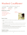### Mashed Cauliflower

from Julie Power (Hilltop Consultants) (from thatlowcarblife.com)

| prep time                      | cook time | serves                 |
|--------------------------------|-----------|------------------------|
| 5 mins                         | 20 mins   |                        |
| things you need                |           |                        |
| 2 tsp avocado oil              |           | 1 tsp salt             |
| 2 cloves garlic, minced        |           | 1/2 tsp cracked pepper |
| 24 oz fresh cauliflower, riced |           |                        |
| 2 c chicken broth              |           |                        |
| 3 tbsp butter                  |           |                        |
|                                |           |                        |



### here's how

- 1 Add the oil to a deep 12 inch skillet and heat over medium heat. Add the garlic and cook 1 minute.
- 2 Add the cauliflower rice and stir to combine.
- 3 Add the chicken broth and bring to a boil. Reduce to a simmer and cover the pot. Let cook for 10 minutes.
- 4 Remove the lid and stir. Continue cooking until nearly all of the liquid has evaporated, about 10 more minutes, stirring as needed.
- 5 Use an immersion blender to puree the cauliflower. Alternately, transfer the mixture to a blender or use a potato masher. Using a potato masher will result in a less smooth texture.
- 6 Add the butter, salt, and pepper and stir to melt the butter. Serve hot.

### helpful notes

This side goes with my favorite Fall 2020 meal (Keto Salisbury steak (see entrees) and Barbara Bush's green beans (see sides)).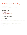### Pineapple Stuffing

from Maureen Austin

| prep time | cook time |
|-----------|-----------|
| 5 mins    | 45 mins   |

### things you need

1/2 c of butter, softened 1/2 c of sugar

1 20 oz can of crushed pineapple don't drain the juice

#### 4 eggs

6 – 8 slices of white bread cubed let the bread sit out for a few hours to harden

### here's how

1 Cream together butter and sugar. Beat in one egg at a time. Stir in pineapple. Fold in cubed bread.

serves

 $4 - 6$ 

- 2 Put in 9 x 12 greased glass dish.
- 3 Bake @ 350 for about 45 minutes. Top will become golden brown. Serve warm.

### helpful notes

This recipe can be doubled.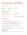# Sausage Stuffing

from Margie Sigmund

| prep time                                                         | cook time | serve     |
|-------------------------------------------------------------------|-----------|-----------|
| 15 mins                                                           | $45$ min  |           |
| things you need                                                   |           |           |
| 1 lb bulk sausage                                                 |           | 2 tsp pc  |
| I usually use Jimmy Deans<br>112 oz package of (soft) bread cubes |           | 1 tsp sal |
|                                                                   |           |           |

1 egg

1 c celery, diced

1/4 - 1/3 c onion, diced

### here's how

serves

bultry seasoning  $|$  tsp satisfy 1/2 tsp pepper milk

I also add a little bit of turkey or chicken broth, but you can just use the milk if you prefer

- 1 Preheat oven to 350 degrees.
- 2 Brown sausage and onions in large frying pan (breaking sausage up into small pieces). In large bowl add remaining ingredients except for milk/broth.
- 3 Pour the browned sausage and onions on top of mixture. Add a little milk (and a little broth if you'd like) but don't make it too moist. (You can add in more while mixing.)
- 4 Stir ingredients together and mix well (I usually use my hands after initial stirring).
- 5 Place into lasagna pan or 8 X 8 baking dish. (You can drizzle a little more broth on top if you'd like but again, don't make it too moist.)
- 6 Cover with foil and bake in oven at 350 for about 40/45 minutes. (You can remove foil for the last 10 or 15 minutes so that the top browns.)

### helpful notes

27 I usually make two batches. I can usually stuff about 34 of one batch into the turkey and then just bake the rest.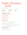## Turkey Sausage **Soup**

from Tracy McFadden

| prep time | cook time        |
|-----------|------------------|
| 10 mins   | $30 \text{ min}$ |

serves 4

### things you need

10 oz Italian turkey sausage 1/2 c chopped onion 2 tsp minced garlic baby spinach 1 can stewed tomatoes 1 can cannelli beans

### here's how

- 1 Take sausage out of casings, breakup and brown sausage.
- 2 Add garlic and onion and sauté for two minutes.
- 3 Add the rest of the ingredients, bring to a boil, then simmer 20 minutes.
- 4 Place in bowl and sprinkle romano cheese on top.

### helpful notes

If you want, you can add ditalini pasta!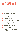# entrees

- 29 Baked Denver Omelet
- 30 Beef Stroganoff
- 31 Chicken Divan
- 32 Chicken Fried Rice
- 33 Chicken & Wild Rice Casserole
- 34 Garlic Chicken & Spaghetti
- 35 Gummy Eggs
- 36 Homemade Pancakes
- 37 Hot Dog Casserole
- 38 Instant Pot Chicken Risotto
- 39 Kale & Mushroom Lasagna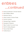# entrees ...continued

- $\frac{4}{1}$ 40 Kentucky Bourbon Chicken Kabob
- 41 Keto Salisbury Steak
- 42 Marinara Sauce
- 43 Olive Garden Chicken Pasta
- 44 Quiche Lorraine
- 45 Sausage Egg Casserole
- 46 Sausage & Peppers
- 47 Slow Cooker Coconut Curry
- 48 Terri D's Turkey Burgers
- 49 Tuscan Kale Pasta
- 50 Vodka Sauce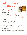### Baked Denver Omelet

from Jenelle McAdams

prep time 10 mins

cook time 35 mins

#### things you need

2 tbsp butter or non-dairy butter alternative 1/2 onion (red or white), chopped 1/2 green bell pepper, chopped 1 c chopped cooked ham or pancetta serves 4



8 eggs 1/4 c milk or non-dairy almond milk 1/2 c shredded cheddar cheese or non-dairy shredded cheese Italian seasoning, garlic salt, paprika, & black pepper to taste

#### here's how

- 1 Preheat oven to 400 degrees. Grease a 10-inch round baking dish.
- 2 Melt butter in a large skillet over medium heat; cook and stir onion and bell pepper until softened, about 5 minutes. Stir in ham and continue cooking until heated through, about 5 minutes more.
- 3 Beat eggs and milk in a large bowl. Stir in cheese and add the ham mixture; season with Italian spices, garlic salt, paprika, and black pepper. Pour mixture into prepared baking dish.
- 4 Bake in preheated oven until eggs are browned and puffy, about 25 minutes. Serve warm.

#### helpful notes

The ham naturally incorporates a lot of salt, so be cautious with adding extra salt. I baked this omelet as a dinner entrée and paired with roasted fingerling potatoes and cherry tomatoes. This omelet was made Denver style (and dairy free!) but you can take the basic premise and use only veggies or all meats or whatever type of omelet you are craving.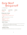### Easy Beef Stroganoff

from Theresa Meyer

| prep time | cook time | serves |
|-----------|-----------|--------|
| 5 mins    | 4 hrs     |        |

#### things you need

- 1.5 lbs cubed stew meat
- 1 10.5 oz can cream of mushroom soup
- 1 c milk

 I use whole milk & use the soup can to measure it out

1 pkg dry onion soup mix

I use Lipton

1 bag of egg noodles

I normally use half of a 12 oz bag

#### here's how

- 1 Mix the stew meat, cream of mushroom, milk, and onion soup mix in the crockpot and cook on high for 4 hours. I stir occasionally, but it's not necessary.
- 2 Boil and prepare the egg noodles to your choice of density and mix into the meat mixture when ready to serve.

#### helpful notes

Enjoy a stress-free and hearty dinner! My kids, ages 1 and 2, even enjoy this meal!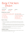### Easy Chicken **Divan**

from Rose O'Drain

| prep time | cook time |
|-----------|-----------|
| 15 mins   | 25 mins   |

#### things you need

serves

6

4 c cubed or shredded chicken, cooked 24 - 32 oz frozen broccoli florets, thawed 1 c sour cream 1/2 c mayonnaise 1/4 c heavy cream 1/4 c chicken broth 2 tsp chicken bouillon I prefer "Better than Bouillon" or 2 cubes 1 tsp fresh ground pepper 1 c grated cheddar cheese 2 tbsp butter, melted 1/4 tsp kosher salt 3/4 c plain breadcrumbs

#### here's how

- 1 Preheat oven to 350 degrees. Coat a 9x13 baking dish with nonstick spray and set aside.
- $2<sub>1</sub>$  In a large bowl combine the chicken and broccoli evenly. Place the mixture into the prepared pan.
- 3 In a medium bowl whisk together the sour cream, mayonnaise, heavy cream, chicken broth, bouillon, and pepper. Pour the sour cream mixture evenly on top of the chicken and broccoli.
- 4 In a medium bowl combine the butter, salt and breadcrumbs. Evenly sprinkle the breadcrumbs on top of the cheese layer.
- 5 Bake for 25-30 minutes until warmed through and toasted on top. Serve warm.

#### helpful notes

You can serve this over rice, pasta or on its own. You can even stuff the mixture into a baked potato! Store airtight in the refrigerator for up to 3 days.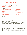### Chicken Fried Rice

from Jason Schmidt

prep time 15 mins cook time 25 mins

#### things you need

3/4 lb boneless skinless chicken thighs 1 tsp salt, divided 3 tbsp canola oil (or any high heat oil), divided 3 lg eggs, whisked 2/3 c yellow onions, diced 2 cloves garlic, minced 2 tsp minced ginger 1 lg carrot, peeled and diced 2/3 c frozen peas, rinsed under warm tap water for a few seconds to thaw here's how

serves

6

4 c cooked jasmine rice preferably leftover from at least a day before 2 scallions, sliced separate the white and light green parts from the dark green part 1/2 tsp Chinese five-spice powder optional 2 1/2 tbsp soy sauce or tamari 1 tsp sesame oil

- Chop the chicken into small 1/4-inch to 1/2-inch cubes. Sprinkle 1/2 teaspoon of salt over the chicken and mix to combine. Set the chicken aside for about 10 minutes (I usually use this time to chop all the vegetables).
- 2 Heat a wok or large sauté pan over medium-high heat. Swirl in a tablespoon of oil and add the whisked eggs. Use a spatula to quickly scramble the eggs, breaking the curds into smaller pieces as they come together. Transfer the eggs to a plate.
- 3 Add another tablespoon of oil in the wok or pan. Add the chicken and cook for 4 to 5 minutes, stirring occasionally. Turn off the heat and transfer the cooked chicken to a plate. Using your spatula, scrape off any chicken bits that are still stuck to the wok so they don't burn during the next step. You can also use paper towels to wipe down your wok or pan.
- 4 Swirl 1 tablespoon of oil into the wok over medium-high heat. Add the diced onions and cook them for 1 minute, until they start to soften. Mix in the minced garlic and ginger and cook until fragrant, about 30 seconds. Add the diced carrots and cook for 2 minutes, stirring frequently. Add 1/2 teaspoon salt and the peas, and stir to incorporate.
- 5 Add the rice to the wok or pan on top of the vegetables and stir to combine. Using the back of your spatula, smash any large chunks of rice to break them apart. Add the white and green parts of the sliced scallions (save the dark green parts) and five-spice powder. Stir to incorporate. If the rice starts to stick to the pan, stir in a little more oil.
- 6 Drizzle the soy sauce and sesame oil over the rice and stir to incorporate. Stir in the cooked chicken, scrambled eggs, and the dark parts of the scallions. Stir briefly to bring it together, and cook for another 1 to 2 minutes. Taste, and add more soy sauce if necessary.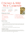### Chicken & Wild Rice Casserole

from Emily Allen (Allsteel | Gunlocke)

| prep time | cook time | serves |
|-----------|-----------|--------|
| 15 mins   | 45 mins   | n      |

#### things you need

1 box Uncle Ben's Long Grain Wild Rice (6 oz) 1/4 c (4 tbsp) butter 1/3 c chopped onion 1/3 c all-purpose flour 1 tsp salt 1 tsp pepper

#### here's how

- 1 Cook rice as directed, set aside.
- 2 In saucepan, melt butter, add onion and sauté. Stir in flour slowly, add salt & pepper to taste. Add chicken broth and half-and-half with a whisk. Cook mixture until thick, keep stirring with whisk.
- 3 Add cubed chicken, rice, almonds, parsley.
- 4 Pour into a greased casserole dish. Bake uncovered  $@$  350 $^{\circ}$  for 35 minutes.

#### helpful notes

.

My Mom has made this for my family every Christmas Eve for as long as I can remember. We won't let her make anything else! Serve along with a tossed salad, including green apple/ sliced grapes/ walnuts, a cranberry relish and French dinner rolls. Perfection!

1 c half-and-half 2 c chicken or vegetable broth 2 c cubed cooked chicken 1/3 c chopped fresh parsley 1/4 c chopped slivered almonds

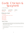### Garlic Chicken & Spaghetti

from Tracy McFadden

| prep time | cook time | serves |
|-----------|-----------|--------|
| 15 mins   | 45 mins   |        |

#### things you need

2 sticks butter 1 - 1 1/2 lbs boneless chicken breast bread crumbs garlic powder grated cheese salt & pepper 1/2 lb spaghetti

#### here's how

- 1 Put 2 sticks of butter in pan and melt (on stove). Add chicken breasts and a little salt and pepper. Sprinkle some garlic powder, bread crumbs and grated cheese over the chicken breasts and brown chicken on one side.
- 2 Turn chicken over and repeat.
- 3 Cook the spaghetti, drain, put in large bowl. Add chicken breasts, butter and sauce to spaghetti in same bowl.

4 Enjoy!

.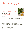# Gummy Eggs

from Val Brauckman (TelcoWorks)

| prep time | cook time         | serves  |
|-----------|-------------------|---------|
| 5 mins    | $12 \text{ mins}$ | $1 - 2$ |

#### things you need

4 or 5 jumbo eggs (use only jumbo eggs)

- 1 With no more than 4 or 5 eggs, fill the pot with cold water until the eggs are barely covered, turn the heat to high and bring the water to a boil.
- 2 Immediately upon reaching a boiled state, start the timer for 6 minutes only.
- 3 Once the pot is boiling, turn the heat down so they remain boiling, but not so violently that you risk cracking the eggs.
- 4 While they are boiling, prepare a medium-sized mixing bowl of ice and water, to plunge the eggs in the bowl at the end of the 6 minute cooking time.
- 5 As soon as the timer goes off, remove the eggs with a slotted spoon and plunge into the ice water bowl and leave them for 3 – 5 minutes.
- $6<sub>6</sub>$  Peel the eggs, cut them and sprinkle them with a finishing salt and add a small green salad sprinkled with Lime Citrus Ponzu vinegar. (Can be found in the Asian aisle of most markets…it's tart and sweet with a touch of citrus.)
- 7 Eat your heart out Martha Stewart!!! Yum!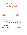### Homemade Pancakes

from Kathy Remetta (originally from my dear friend Dianne Hoyt)

prep time cook time 1 mins

10 mins

serves

6

#### things you need

for the pancake mix: 1 c oatmeal

- 2 c flour
- 2 tsp baking soda
- 2 tsp baking powder

for the pancakes: 1 c pancake mix 1 1/4 c vanilla yogurt 1 egg

#### here's how

- 1 Combine all the pancake mix ingredients and store in airtight container.
- $2<sup>7</sup>$  To make the pancakes, combine 1 cup of the mix and the rest of the ingredients in bowl and mix until just combined.
- 3 Prepare a hot griddle and make your pancakes. Yum!

#### helpful notes

My friend Dianne used to make up a big batch of the mix and had it ready to go so she could whip up a batch of pancakes. The kids loved them. In fact, my son had a school project where he had to submit a recipe for a "healthy" version of a meal and he submitted this recipe and got an A!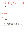## Hot Dog Casserole

from Breana Tavalario

| prep time | cook time | serves  |
|-----------|-----------|---------|
| 15 mins   | 1 hr      | $4 - 6$ |

#### things you need

1 8 pkg hot dogs 3 - 5 potatoes sliced fairly thin 1/2 c chopped onion a couple of tbsps of mustard dash of paprika 1 1/2 stick butter, melted

- 1 Preheat oven to 375 degrees. Coat a 9x13 baking dish with nonstick spray and set aside.
- 2 Layer bottom of pan with potatoes, leaving a handful for the top.
- 3 Place hot dogs on top of potatoes and then the rest of the potatoes.
- 4 Melt the butter with the onions, mustard and paprika. Pour butter mixture over top.
- 5 Cover and bake for about an hour.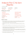### Instant Pot Chicken Risotto

from Grace O'Brien

| prep time<br>15 mins                                                                                                                                                     | cook time<br>10 mins | serves                                                                                                                                                                       |
|--------------------------------------------------------------------------------------------------------------------------------------------------------------------------|----------------------|------------------------------------------------------------------------------------------------------------------------------------------------------------------------------|
| things you need                                                                                                                                                          |                      |                                                                                                                                                                              |
| 3 tbsp EVOO<br>1 med onion<br>7 oz button mushrooms<br>1 lb chicken breast, diced<br>2 c risotto rice<br>see note 1 & 2<br>4 c chicken broth<br>see note 3<br>1 tsp salt |                      | 3 tsps dried rosemary<br>2 tsps dried oregano<br>2 tsps paprika<br>1/4 tsp black pepper<br>1.5 oz unsalted butter<br>3 oz parmesan cheese<br>see note 6<br>optional - chives |

- 1 Finely chop the onion. Turn on the pressure cooker and press the SAUTE function. Adjust to high. Pour in 2 tablespoons of olive oil and add the chopped onion. Sauté until translucent. Add cleaned and sliced mushrooms. Sauté for about 5 minutes.
- 2 Meanwhile dice the chicken. Combine all the seasoning ingredients and season the chicken pieces.
- 3 Take out the sautéed vegetables, pour in the remaining olive oil and add the chicken pieces in.
- 4 Quickly brown the meat. Turn OFF the saute function and deglaze the pot with some of the chicken stock. Throw the onions and mushrooms back in, as well as the chicken. Add the rice and chicken stock/broth and give everything a good stir.
- 5 Cover with the lid and lock it into its position. Turn the vent to the SEALING position. Press the MAN-UAL button (pressure cooking) and adjust the time to 3 minutes. When the cooking is finished, wait 7 minutes before releasing the pressure manually.
- 6 Stir in the butter and grated parmesan. Taste it and add more seasoning if needed. Sprinkle with finely chopped chives (optional) and serve.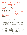### Kale & Mushroom Lasagna

from Allison Sponic (Adapted from Joshua McFadden's *Six Seasons* Cookbook)

| cook time       | serves                                         |
|-----------------|------------------------------------------------|
| 40-50 mins      |                                                |
| things you need |                                                |
|                 | 1 lb white mushrooms finely chopped            |
|                 | 1 lb kale, thick ribs cut out, leaves cut into |
|                 | thin strips                                    |
|                 | lemon, zested                                  |
|                 | 3/4 - 1 lb whole-milk ricotta                  |
|                 | 9 oz box of no-boil lasagna                    |
|                 | fresh parmesan                                 |
|                 |                                                |
|                 | black pepper, freshly ground                   |

- 1 Preheat the oven as instructed by your no-bake lasagna noodles.
- $2$  Melt 4 tbsp butter in a medium saucepan over medium heat. Stir in the flour for 1-2 minutes, until a smooth paste is formed. Whisk in the broth and the milk. Bring the velouté to a boil, whisking to eliminate lumps. As it is heating up, begin step two. Reduce heat and simmer for 5 minutes to thicken slightly. Season lightly with pepper and set aside.
- 3 Melt the remaining 2 tbsp of butter in a large skillet over medium-high heat. When the sizzling stops, add the mushrooms. Season generously with salt and pepper. Cook until all the moisture from the mushrooms has been released, stirring occasionally. They should begin to brown and stick to the pan in 10-12 minutes. Scrape into a bowl and let cool slightly.
- 4 While the mushrooms cook, sprinkle the kale with water and move to a large skillet over medium-high heat. Lightly salt. Toss frequently and add water as the pan gets dry.
- $\overline{5}$  Stir the lemon zest into the ricotta in a bowl.
- $6<sub>6</sub>$  To assemble the lasagna, spread a little less than half of the velouté in an even layer on the bottom of a 9 x 9-inch baking dish (can accommodate a 9 x 13-inch pan). Arrange the lasagna noodles on top. Next, spread the mushrooms evenly over the noodles and then top with kale.
- 7 Arrange the second layer of noodles and top with ricotta. Gently spread ricotta into an even layer.
- 8 Place the third and final layer of noodles. Top with the rest of the velouté and sprinkle with parmesan.
- usually 40 to 50 minutes. Let cool for 20 minute and serve. 9 Bake (at temperature recommended on lasagna noodle box) until cheese is golden brown,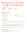### Kentucky Chicken & Bacon Kabob

from Kathy Remetta

| prep time                              | cook time | serves |
|----------------------------------------|-----------|--------|
| $15 \text{ mins} +$<br>1 <sup>hr</sup> | 20 mins   |        |

#### things you need

For the marinade: 1 bunch scallions (roughly chopped) 1/3 c dijon mustard 1/4 c bourbon whiskey 1/4 c brown sugar 1/4 c vegetable oil

For the kabob: 2 lbs chicken (cut into chunks) 1 lb bacon salt & freshly ground black pepper

#### here's how

- 1 To make the marinade: add all ingredients into a blender and blend well (It's okay if chunky).
- 2 Place the chicken, cut into pieces, in a bowl and cover with marinade. Marinate in fridge at least 1 hour.
- 3 Prepare a hot fire on grill. Slice the bacon strips into 2 or 3 pieces (depending on how big you cut the chicken). Remove chicken from marinade and wrap the bacon around the meat. Thread 4-5 pieces of each onto skewers. Salt & pepper each kabob.
- 4 Place kabob on grill, turning and moving occasionally until bacon is well browned and chicken is cooked through (about 15 minutes).

#### helpful notes

Marinade can be stored in fridge about 3 days. Original recipe calls for turkey breasts, but we prefer the chicken.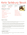## Keto Salisbury Steak

serves

For the gravy:

 $\Delta$ 

from Julie Power (Hilltop Consultants) (from thatlowcarblife.com)

prep time 15 mins cook time 20 mins

#### things you need

For the steak: 1 1/2 lbs lean ground beef 1 lg egg 1/2 c almond flour 1/4 c powdered parmesan cheese 1/4 c minced onion 1 tsp garlic powder 1/s tsp salt 1/2 tsp cracked pepper 1 tbsp butter 1 tbsp avocado oil

#### here's how

2 tbsp butter 1 tsp garlic powder 1 tsp xanthan gum 2 c beef bone broth 1 tbsp Worcestershire sauce salt & pepper, to taste minced parsley, for garnish

- 1 To make the steak: add the beef, egg, almond flour, parmesan, onion, garlic powder, salt and pepper to a mixing bowl and combine well. Form beef mixture into 4 oval patties.
- 2 Heat the butter and avocado oil in a large cast iron skillet over medium heat until hot. Add the beef patties and cook for 5 minutes, covered. Remove the lid, flip the patties and cook for 4 more minutes or until cooked through. Remove the patties from the pan and set aside. Drain grease from the pan.
- 3 To make the gravy: add the butter to the skillet over medium heat and let melt. Stir in the garlic powder and xanthan gum and cook for 30 seconds. Stir in the beef broth and Worcestershire sauce and bring to a simmer over medium heat, stirring often. Cook until mixture has thickened, about 5 minutes. Taste and season gravy with salt and pepper.
- 4 Add steaks back to the skillet with the gravy and cook for 2 minutes to warm, topping the steaks with the gravy.
- 5 Sprinkle with parsley before serving.

#### helpful notes

41 Note – This is my favorite Fall 2020 meal—served with mashed cauliflower and Barbara Bush's green beans (see side dishes) 41

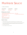### Marinara Sauce

from Bob at City Kitchen

| prep time | cook time         | serves |
|-----------|-------------------|--------|
| 5 mins    | $10 \text{ mins}$ | lots   |

#### things you need

3 28 oz cans of high quality Italian whole salt to taste plum tomatoes in puree 1 sm onion - diced 6 cloves of garlic – minced EVOO 1 tsp crushed red pepper

less if you don't like a little heat

#### here's how

- 1 Crush tomatoes by hand or pulse in a blender (keep on the chunky side), put aside.
- 2 Coat a deep pan with EVOO and sauté onion until translucent, throw in garlic at the end for 1 minute, add tomatoes, red pepper and salt. Bring to a simmer for about 10 minutes.
- 3 Turn off heat and stir in basil.
- 4 Crack a bottle of red and you're done!

1 c shredded fresh basil leaves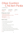### Olive Garden Chicken Pasta

from Kathaleen Eker

| prep time | cook time   | serves |
|-----------|-------------|--------|
| 5 mins    | $4 - 6$ hrs |        |

#### things you need

boneless chicken breasts 1 16 oz jar Olive Garden Italian dressing grated parmesan cheese black pepper 1 8 oz block cream cheese

#### here's how

- 1 Spray crockpot with non-stick cooking spray.
- 2 Place chicken breasts in bottom of pot.
- 3 Pour in the dressing.
- 4 Lightly cover with grated parmesan and pepper.
- 5 Place block of cream cheese on top.
- 6 Cook on high for 4 hours or 5-6 hours on low.
- 7 Shred chicken with two forks right in the crockpot and mix sauce.
- 8 Cook pasta according to package directions, drain and add to pot.
- 9 Add a little more grated parmesan and pepper.
- 10 Serve!

1 box pasta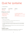### Quiche Lorraine

from Kathy Remetta

| prep time | cook time | serves |
|-----------|-----------|--------|
| 20 mins   | 1 hr      |        |

#### things you need

1 unbaked pie shell 2 tbsp butter, softened 4 eggs, beaten 2 c heavy cream

#### here's how

#### Preheat oven to 425 degrees.

- 2 Place unbaked pie crust in pie pan. Spread the butter over the pie crust.
- 3 Next put the crumbled bacon in the pie shell.
- $4$  In a medium bowl add the heavy cream to the beaten eggs. Add the nutmeg, salt/pepper and cheese. Stir till combined. Gently pour the mixture over the bacon so as not to disturb the bacon.

2 c shredded swiss cheese

1/8 tsp nutmeg

12 slices cooked bacon, crumbled

salt & freshly ground black pepper

- 5 Bake for 10 minutes, reduce heat to 325 degrees and bake another 45-50 minutes until knife inserted in middle comes out clean.
- 6 Serve warm.

#### helpful notes

I make this every Easter and Christmas morning. Everyone loves it. You can substitute the cheese with your favorite—same with the bacon. This reheats up great. Enjoy!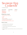### Sausage Egg **Casserole**

from Maureen Austin

| prep time           | cook time       | serves  |
|---------------------|-----------------|---------|
| $20 \text{ mins} +$ | 1 <sub>hr</sub> | $6 - 8$ |
| refrigerate         |                 |         |
| overnight           |                 |         |

#### things you need

1 16 oz package of Tator Tots 2 c milk 4 eggs 1 tube of sausage crumble, cook and drain—I use Jimmy Dean 2 c shredded cheddar cheese kosher salt & fresh ground black pepper

- 1 Layer greased pan with the cooked sausage.
- 2 Add the shredded cheese and Tator Tots.
- 3 Combine the eggs and milk and pour over the Tator Tots.
- 4 Refrigerate overnight.
- 5 Bake at 375 degrees, covered or 30-45 minutes. Remove cover and bake another 15 minutes.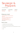### Sausage & Peppers

from Joanne Miraglia

| prep time | cook time | serves  |
|-----------|-----------|---------|
| 15 mins   | 4 hrs     | $6 - 8$ |

#### things you need

1 lg can Tuttorosso crushed tomatoes with basil 1 lg can of Contadina tomato sauce 2 lb sausage, cut into chunks 2 green peppers, sliced salt, pepper, garlic & oregano sprinkle to taste

- 1 In a skillet with olive oil, brown the sausage.
- 2 Remove from pan and then sauté the peppers.
- 3 Add sausage, peppers, tomatoes, sauce and all seasonings all to crock pot.
- 4 Cook 4 hours.
- 5 Enjoy!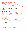### Slow Cooker Coconut Curry

from Krista Hart

| prep time | cook time | serves  |
|-----------|-----------|---------|
| 20 mins   | 4 hrs     | $4 - 6$ |

#### things you need

- 1 c water
- 1 lg head broccoli, cut into florets
- 1 med or lg sweet potato, peeled and cubed
- 1 med or lg potato, peeled and cubed
- 1 red pepper, diced
- 1 green pepper, diced
- 1 med white onion, diced
- 2 cloves garlic, minced
- black pepper, freshly ground
- 1 tsp fresh ginger, minced
- 1 tsp red pepper flakes
- 1 tbsp ground turmeric
- 2 tsp tamari soy sauce
- 2 tsp salt
- 28 oz canned diced tomatoes
- 30 oz unsweetened coconut milk
- cooked jasmine rice (or any rice of your preference), for serving
- fresh parsley, chopped, for serving

- 1 Add the water, veggies, garlic, ginger, red pepper flakes, turmeric, tamari, salt, tomatoes, and coconut milk to a slow cooker. Stir to combine.
- 2 Cover and cook for 4 hours on high or 8 hours on low, until the potatoes are tender.
- 3 Serve the curry warm over rice. Garnish with parsley, if desired.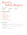### Terri D's Turkey Burgers

from Terri DelloBuono

| prep time | cook time | serves  |
|-----------|-----------|---------|
| 5 mins    | 15 mins   | $3 - 5$ |

#### things you need

3 lbs ground turkey 2 egg whites 1/4 c breadcrumbs 1/4 c finely chopped onions granulated garlic to taste dried parsley to taste 1/4 c soy sauce 1 tbsp spicy mustard crushed red pepper (optional)

- 1 Thoroughly mix all ingredients together. If the meat seems too wet you can add a little more bread crumbs.
- 2 Form burgers (it helps if you keep your hands wet). Place on a plate sprayed with Pam.
- 3 Slide on BBQ grill.
- 4 Cook until done about 10 to 15 minutes.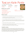### Tuscan Kale Pasta

from Val Brauckman (TelcoWorks)

prep time cook time 5 mins 15 mins

#### things you need

150 g dried spaghetti 4 cloves of garlic 1 or 2 bunches of Tuscan kale 30 g parmesan cheese 30 g ricotta cheese

serves  $4 - 6$ 



sea salt freshly ground black pepper

#### here's how

- Cook the pasta in a pan of boiling salted water according to the packet instructions.
- 2 Meanwhile, peel the garlic. Tear the stems out of the Tuscan kale and discard, adding the leaves and the garlic to the pasta pan for 5 minutes.
- 3 Pour 1 1/2 tablespoons of EVOO into a blender, then finely grate in the parmesan.
- 4 Use tongs to carefully transfer the kale leaves and garlic straight into the blender and blitz for a few minutes until super-smooth. Taste and season to perfection with sea salt and black pepper.
- 5 Drain the pasta, reserving a mugful of cooking water.
- $6<sub>6</sub>$  Return it to the pan and toss with the vibrant green sauce, loosening with a splash of reserved cooking water, if needed, then divide between your plates.
- 7 Dot over the ricotta, drizzle with a tiny bit of EVOO, and tuck right in.

#### helpful notes

I love to make this Jaimie Oliver recipe after a trip to the local Farmers Market or anytime I can find fresh Dinosaur or Tuscan kale. It is so green-tasting and garlicy, and a wonderful way to consume kale with my favorite food group – pasta. I added some shrimp to my recipe, but it's also a great vegetarian option. Super easy with a blender for the blanched kale, garlic and pasta water. I paired it this summer with a cold gazpacho soup – ingredients gathered from my trip to the farm market, and topped them both off with some fresh basil.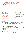### Vodka Sauce

from Jen Warren

| prep time | cook time     |
|-----------|---------------|
| 15 mins   | $1.5 - 2$ hrs |

#### things you need

4 cans of crushed tomatoes (28 oz)

3 - 4 cans of diced tomatoes (14 oz)

2 lg shallots diced or one small onion

1 tbsp of crushed garlic or 3 - 4 fresh cloves minced

4 tbsp of olive oil

1 12 oz can of tomato paste

30 halves of sun-dried tomatoes chopped or julienned I like a lot but you can use less

2 c vodka cheap is fine - it gives more "bite" to the sauce serves

 $4 - 6$ 

1 c sherry wine

1 c chicken stock

2 c heavy cream or light cream if you prefer

2 - 3 pkgs diced ham or prosciutto Cumberland Gap makes diced ham that you can usually find near the bacon or the packaged lunch meat section of the grocery store

1 - 2 tsp of hot sauce (tabasco) depends on how spicy you want it

1 tsp salt

1 tsp pepper

1 tsp basil

crushed red pepper to taste

#### here's how

- 1 Add the olive oil to bottom of pan and heat for 3-4 minutes on medium heat (until hot). Then add the shallots, sun dried tomatoes and garlic. Cook until softened, about 4-5 minutes. Then add the vodka and the sherry wine and cook, stirring frequently until reduced in half - for about 10 minutes depending on how hot your pan is. Add the chicken stock, stir, and cook for 5 minutes**.**
- 2 Then add the crushed and diced tomatoes. Season with basil, salt & pepper. Lower heat to medium-low and cook for about 40 minutes, stirring frequently.
- 3 Then add the ham/prosciutto, and the tomato paste. Add tabasco and crushed red pepper to taste. Reduce heat to low and cook another 30 minutes, stirring frequently. If making pasta, start to boil the water.
- 4 Finally, add the cream and stir in. Cook an additional 5-10 minutes, stirring frequently. Serve over pasta or pasta with chicken.

#### helpful notes

Note – This recipe makes enough to freeze for other meals.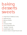# baking desserts sweets

- 51 Angel Food Christmas Candy
- 52 Apple Kuchen
- 53 Banana Muffins
- 54 Bark
- 55 Cinnamon Rolls
- 56 French Strawberry Pie
- 57 "Healthy" Granola
- 58 Jewish Apple Cake
- 59 Lemon Cream Cheese Pound Cake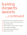# baking desserts sweets ...continued

- 60 Mini Lemon Cream Tarts (hard) (part 1)
- 61 Mini Lemon Cream Tarts (easy) (part 2)
- 62 Peanut Butter Bars
- 63 Salted Pretzel Cowboy Party Cookies
- 64 Scones/Irish Soda Bread
- 65 Super Delicious Easy Brownies
- 66 Sweet Potato Rolls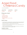### Angel Food Christmas Candy

from Jack Caulk (MCS)

| prep time | cook time | serves |
|-----------|-----------|--------|
| 5 mins    | 20 mins   | lots:  |

#### things you need

- 1 c sugar
- 1 c dark corn syrup
- 1 tbsp white vinegar
- 1 tbsp baking soda
- 1 lb milk chocolate candy coating, melted

#### here's how

- 1 In a heavy saucepan, combine the sugar, corn syrup and vinegar. Cook over medium heat, stirring constantly, until sugar dissolves. Cook without stirring until the temperature reaches 300° (hard-crack stage) on a candy thermometer. Do not overcook.
- 2 Remove from the heat and quickly stir in baking soda. Pour into a buttered 13x9-in. pan. Do not spread candy; mixture will not fill pan.
- 3 When cool, break into bite-size pieces. Dip into melted chocolate; place on waxed paper until the chocolate is firm. Store candy tightly covered.

#### helpful notes

Jack totally stole this recipe from the internet!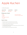### Apple Kuchen

from Mary Anne Jaquay

| prep time | cook time |
|-----------|-----------|
| 20 mins   | 45 mins   |

serves lots

#### things you need

4 eggs 2 c sugar 2 c flour 2/3 c melted margarine 4+ apples

a few pats of butter cinnamon & sugar to taste

- 1 Beat eggs and sugar for 15 minutes with a stand or hand mixer.
- 2 Add flour and melted margarine. Beat just until all is incorporated.
- 3 Pour batter into greased 12x14 inch sheet pan.
- 4 Cover with thin sliced apples and sprinkle with a good amount of cinnamon and sugar mixture. Dot with small pieces of butter.
- 5 Bake at 375 degrees for about 45 minutes (check at 40 mins).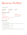### Banana Muffins

from Breana Tavalario

| prep time | cook time |
|-----------|-----------|
| 20 mins   | 20 mins   |

#### things you need

1/2 c butter 1/2 c sugar 1 egg 1 c mashed bananas 1 tsp baking soda dissolved in 1 tbsp hot water

dash salt 1 tsp ground nutmeg 1/2 c chocolate chips optional 1/2 c walnuts

serves

6

1 1/2 cups all-purpose flour

- 1 Preheat oven to 375 degrees.
- $2<sub>1</sub>$  In large bowl cream butter and sugar with electric mixer. Add and combine egg, mashed bananas and baking soda.
- 3 In smaller bowl combine flour, salt, and nutmeg.
- 4 Combine wet and dry mixture.
- 5 Add chocolate chips (and optional walnuts).
- 6 Spoon into prepared cupcake tray (and decorate top of each with walnut half). Bake for 20 mins.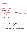### Bark

from Margie Sigmund

#### prep time cook time 20 mins 20 mins

#### things you need

saltine crackers (1 sleeve) 2 sticks butter (or margarine) 1/2 c sugar 1/2 c brown sugar

#### here's how

- 1 Preheat oven to 325 degrees.
- 2 Line large cookie sheet with aluminum foil.
- 3 Place 1 layer of saltines on cookie sheet.
- 4 Melt sugars and butter on medium heat until syrupy consistency.
- 5 Pour butter/sugar mixture over saltine and smooth/spread it over crackers as best you can.
- 6 Bake at 325 for 8-10 minutes until gold/light brown in color and bubbly.
- 7 Remove pan from oven and immediately scatter chocolate morsels on top; wait about a minute or two (this allows morsels to soften). Using spoon, spread/smooth melting morsels across all saltines.

Optional: top with any of the following: sprinkles, jimmies, mini marshmallows or walnuts if desired.

8 Refrigerate until cooled (I usually leave in overnight or place in freezer if making during summer time).

Remove from pan, peel foil off bottom, and break into pieces (over sink - it's messy!) then serve and enjoy!!!

serves lots

1 bag Nestles Tollhouse Morsels milk or white chocolate sprinkles, jimmies, mini marshmallows or walnuts optional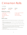### Cinnamon Rolls

from Jill Tolotta

| prep time | cook time |  |
|-----------|-----------|--|
| 90 mins   | 10 mins   |  |

#### things you need

- 1 pkg dry yeast (or 2 1/4 tsp)
- 1 c warm milk
- 1/2 c white sugar
- 1 stick butter, softened
- 1 tsp salt
- 2 eggs

#### here's how

serves lots

4 c flour + more for kneading 1 c brown sugar 2.5 tsp cinnamon cream cheese frosting

- 1 For dough, dissolve yeast in milk in large bowl, then add sugar, 1/3 c butter, salt, eggs and flour.
- 2 Mix dough in bowl with wooden spoon, then knead. Put dough on lightly dusted cutting board, cover and left rise for 1 hour.
- 3 Roll dough out onto floured surface and form a rectangle (21"x16"). Preheat oven to 375 degrees.
- 4 Combine brown sugar and cinnamon in small bowl. Melt remaining butter and spread over surface of dough, then sprinkle the brown sugar/cinnamon over evenly.
- 5 Carefully (from long edge) roll the dough into a log. Cut into 1.75" slices and arrange in slightly greased pan.
- 6 Bake10 minutes or until golden. After cooled, spread with icing.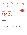### French Strawberry Pie

from Maureen Austin

| prep time | cook time |
|-----------|-----------|
| 20 mins   | 20 mins   |

serves 6



#### things you need

- 9 in baked pie shell
- 3 oz cream cheese (room temp)
- 1 qt fresh strawberries
- 1 c granulated sugar
- 3 tbsp cornstarch
- 1 c whipping cream (1/2 pint)

- 1 Spread cream cheese (blended with sufficient whipping cream to soften) over the bottom of cooled baked pie shell.
- 2 Wash berries, hull them and drain well. Place half the berries in the bottom of cheese coated pie shell ends down (you can also cut in half or quarters for smaller pieces).
- 3 Mash the remaining berries and bring to boiling point. Slowly stir in sugar and cornstarch which has been mixed together. Cook slowly (about 10 mins) until thick enough to spread, stirring occasionally. Cool and pour over uncooked berries in the shell.
- 4 Place pie in the refrigerator until cold. Decorate with sweetened whipped cream and serve.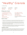### "Healthy" Granola

from Robyn Henry

| prep time |  |
|-----------|--|
| 20 mins   |  |

cook time 25 mins

#### things you need

4 c old-fashioned rolled oats

1 c raw pecan halves or roughly chopped walnuts

1/2 c raw pepitas (hulled pumpkin seeds)

1 tsp fine sea salt

1 tsp ground cinnamon

#### here's how

serves

lots

1/2 c melted coconut oil 1/2 c maple syrup or honey I prefer dark honey

1 tsp vanilla extract

1/2 c dried cranberries or I used other unsweetened dried fruit like figs or apricots

- 1 Preheat the oven to 350 degrees. Line a large rimmed baking sheet with parchment paper. In a large bowl, combine the oats, pecans, pepitas, salt, and cinnamon. Stir to combine.
- $2<sup>2</sup>$  Pour in the coconut oil, maple syrup or honey, and vanilla. Mix well, until every oat and nut is lightly coated. Pour the granola onto the prepared baking sheet and use a large spoon to spread it into an even layer. Bake until golden, 21 to 23 minutes, stirring halfway. Don't worrythe granola will continue to crisp as it cools.
- 3 Let the granola cool completely, undisturbed, before breaking it into pieces and stirring in the dried cranberries or dried fruit. Store the granola in an airtight container at room temp for 1 to 2 weeks, or in a sealed freezer bag in the freezer for up to 3 months.

#### helpful notes

I started making this recipe, from blogger Cookie and Kate, several years ago. It's become a big hit with my family as I usually give it to everyone at Thanksgiving. My mom and sister ask that I make it for them several times a year. My sister requires that it be gluten free so I use gluten free oats for her. I've also make it more "Fall like" by using pumpkin spice seasoning sometimes. Enjoy!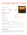## Jewish Apple Cake

from Maureen Austin

prep time 20 mins 1 1/2 hrs cook time

#### things you need

3/4 c sugar 1 tsp cinnamon 4 c flour 2 c sugar 4 tsp baking powder

1 tsp salt

#### here's how

- 1 Stir together the 3/4 c sugar and 1 tsp cinnamon and set aside.
- $2$  Mix, flour, sugar, baking powder and salt. Make a well in the bowl, add orange juice, oil, eggs and vanilla. Beat well.
- 3 Arrange half of the sliced apples over the batter and sprinkle with the sugar and cinnamon mixture.
- 4 Add rest of the batter and top with remaining apples and sugar and cinnamon mixture.
- 5 Bake at 350 degrees for an hour to 1 1/2 hours.

#### helpful notes

58 Note – You can substitute fresh blueberries instead of using apples. Use about a pint to a pint and a half of fresh blueberries. You can also freeze the cake and use for a later date. Takes about 3 hours to completely thaw.

serves lots



1 c orange juice 1 c oil 4 eggs 4 med apples (peeled and sliced thin) 2 1/2 tsp vanilla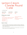### Lemon Cream Cheese Pound Cake

from Martha Keen

| prep time | cook time  | serves |
|-----------|------------|--------|
| 20 mins   | $11/2$ hrs | lots   |

#### things you need

- 3 c sugar 1 1/4 c margarine, softened (2 1/2 sticks) 1 8 oz pkg cream cheese, softened 1 tbsp lemon juice 2 tsp vanilla
- 1 tsp lemon extract

1/8 tsp salt 6 eggs, room temperature 3 c cake flour

1/2 tsp orange extract

- 1 Heat oven to 325 degrees. Grease and flour a 10 x 4 tube pan. Beat sugar, margarine and cream cheese in large bowl on medium speed until fluffy. Beat in lemon juice, vanilla, lemon extract, orange extract and salt. Beat in eggs, one at a time. Add cake flour and beat until smooth. Spread batter in pan.
- 2 Bake for 1 hour and 30 minutes or until golden brown. Test with toothpick. Cool in pan for 10 minutes. Remove and cool completely on wire rack.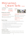### Mini Lemon Cream Tarts (hard)

from Stephanie Lewis

prep time 15 mins

cook time 1 hr fridge + 15 finishing

#### things you need

2 frozen pkgs mini tart shells

1 standard pkg has 15 individual shells

#### 1 10 oz jar lemon curd\*

or homemade which will significantly increase total time

\*see next page for homemade recipe

#### serves

lots



1 16 oz container Pillsbury cream cheese icing\*\*

or homemade which will increase total time a little

\*\*see next page for homemade recipe

whipped cream sprinkles/other decorations If desired mini baking cups

#### here's how

- In the bowl, mix lemon curd & cream cheese icing well. Standard proportions would favor
- 2 Place mini tart shells in container/s/ that will go in refrigerator.
- 3 Use teaspoon to fill each tart with mixture (each should be approximately 2 thirds full).
- 4 Cover & refrigerate at least an hour.
- 5 Remove approximately 15 minutes before serving to give you time to decorate.
- $6$  Top each tart with a tiny dollop of whipped cream & any decorations.\*\*\*
- 7 Serve immediately.

#### helpful notes

\*\*\*Some artificially colored decorations, i.e. silver sprinkles could discolor the whipped cream if left on a long time before serving.

These mini tarts are so versatile! Substitute with leftover pumpkin pie filling, among other things, to mix with the cream cheese icing!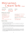### Mini Lemon Cream Tarts (easy)

serves

lots

from Stephanie Lewis

prep time 15 mins

cook time 6 mins + 20 mins fridge

#### things you need

homemade lemon curd: from allrecipes.com 3/4 cup fresh lemon juice 1 tbsp grated lemon zest 3/4 c fresh lemon juice 3 eggs 1/2 cup unsalted butter, cubed

#### here's how

For the lemon curd (about 45 mins to make):

Make it at least 1 hour before everything else so it can be refrigerated & be brought out to warm up (15 minutes) before usage.

In a medium sauce pan, combine all ingredients. Cook over medium-low heat until thick enough to hold marks from whisk & first bubble appears on surface (about 6 minutes). Refrigerate at least 20 minutes ahead of using in Mini Lemon Cream Tarts recipe & when finished using it.

 $2<sub>2</sub>$  For the cream cheese icing (15 mins to make):

In a large bowl, beat together the butter & cream cheese with the mixer. Once well mixed, on low speed, add the powdered sugar a cup at a time until smooth & creamy. Beat in vanilla extract. Keep out until finished using for Mini Lemon Cream Tart recipe, then refrigerate in container/jar with lid.

homemade cream cheese icing from Food Network:

- 4 oz unsalted butter, softened
- 4 oz cream cheese, softened

Ok to substitute with low fat cream cheese, not fat free

2 c powdered sugar

#### 1 tsp vanilla extract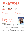### Peanut Butter Bars with Ganache

from Maureen Austin

| prep time |  |
|-----------|--|
| 20 mins   |  |

cook time 15 mins

#### things you need

For the crust:

1 box Devil's food cake mix

1/3 c butter

1 egg

For the peanut butter layer:

3/4 c butter

3/4 c peanut butter

1 tsp vanilla

1 lb powdered sugar (about 3 c)

2 tbsp milk

3/4 c honey roasted peanuts, chopped optional

#### here's how

For the ganache: 1/2 c whipping cream 1 c semi-sweet chocolate chips 1 c milk chocolate chips

serves

lots



- 1 In a large bowl, mix together the cake mix, egg, and butter. Press into the bottom of a  $9 \times 13$ inch pan. Bake in a preheated oven to 350 degrees for 12 minutes. Remove from oven and allow to cool completely.
- $2$  In a large bowl, mix together all of the ingredients for the peanut butter filling until it is thick and smooth. Spread onto cooled chocolate crust, patting the top down evenly to prepare for the ganache frosting.
- 3 Pour the chocolate chips and whipping cream into a microwave-safe bowl. Microwave for about 60 seconds, then whisk. Microwave again for 30 seconds or so, then whisk again, until the mixture creates a smooth, thick chocolate sauce. Spread chocolate on top of peanut butter frosting. Allow all layers to set and cool completely before serving, about 2-3 hours. Cut into squares to serve.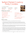## Salted Pretzel Cowboy Party Cookies

from Yolanda Gamboa

prep time 20 mins cook time 10 mins

#### things you need

2 sticks (1 c) salted butter at room temp 3/4 c dark brown sugar 1/4 c granulated sugar 2 lg eggs, at room temp 1 tbsp vanilla extract 1 3/4 c + 2 tbsp all-purpose flour 1 tsp baking soda 1/2 tsp ground cinnamon optional

serves lots



1/2 tsp kosher salt 1 1/2 c old fashioned oats 1 1/2 c shredded unsweetened coconut 1 1/2 c pecans or walnuts optional 1/2 - 1 c semi-sweet chocolate chunks 1 c mini pretzel twists, crushed flaky sea salt, for sprinkling

- 1 Preheat the oven to 350 degrees. Line a baking sheet with parchment paper.
- $2<sub>1</sub>$  In a large mixing bowl, beat together the butter, brown sugar, and granulated sugar until combined. Beat in the eggs, 1 at a time, until combined. Add the vanilla, beating until creamy. Add the flour, cinnamon (if using), baking soda, and salt. Fold in the oats, coconut, nuts, and chocolate chunks.
- 3 Roll the dough into rounded 2 tablespoon size balls. Place 3 inches apart on the prepared baking sheet. Gently push a few crushed pretzel pieces into each dough ball, then flatten the dough ball down with the palm of your hand to 1/2 inch thickness.
- 4 Transfer to the oven and bake for 5 minutes. Remove the pan from the oven and tap the baking sheet on the counter 3 times to flatten them down. Return to the oven and bake another 4 minutes or until the cookies are just beginning to set on the edges, but still doughy in the center. Remove from the oven and tap the baking sheet on the counter 2-3 times to flatten them down again. Let the cookies cool on the baking sheet. They will continue to cook slightly as they sit on the baking sheet. Sprinkle with flaky salt.
- 5 Eat warm (highly recommended) or let cool and store in an airtight container for up to 4 days.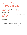## Scones/Irish Soda Bread

from Margie Sigmund

prep time cook time 20 mins 1 hr

serves makes 2 loaves

can do 1 cup of each golden and regular

2 c raisins

2 c buttermilk

2 tbsp melted butter

2 eggs

#### things you need

4 c flour 3/4 c sugar 1 tbsp baking powder 1 tsp baking soda 1 tsp salt

- 1 Preheat oven to 350 degrees.
- 2 Mix dry ingredients. Stir in raisins.
- 3 In separate bowl, combine eggs, butter, milk, melted butter. Add to dry mixture. Mix well (you will NOT be able to use a hand mixer).
- 4 Pour batter into two 9 X 5 loaf pans or three smaller loaf pans. (First spray pans with Pam or grease and flour them.)
- 5 Bake at 350 degrees for 1 hour.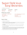## Super Delicious **Easy Brownies**

from Debra Ann O'Connor

| prep time | cook time | serves |
|-----------|-----------|--------|
| 20 mins   | 20 mins   | 12     |

#### things you need

1/2 cup (1 stick) of salted butter 2 lg or xl eggs 1 tsp vanilla extract

1 c sugar

1/2 c unsweetened cocoa power 1/2 c all purpose flour 1/4 tsp salt 1/4 tsp baking power

- 1 Preheat oven to 350 degrees.
- 2 Melt butter and allow to cool down. Add 2 eggs to butter and whisk but only after butter has cooled. Add vanilla to egg/butter mixture and whisk.
- 3 In a medium size bowl mix: sugar, unsweetened cocoa powder, flour, salt and baking powder together.
- 4 Pour melted butter, sugar and vanilla mixture into bowl containing dry ingredients listed in step 2 and mix thoroughly.
- 5 Pour brownie batter into an 8 inch pan lined with wax paper and cook for 20 minutes. When you smell the chocolate, you should check on your brownies. Test by sticking a tooth pick in the middle of brownies. Note: Ovens and pans cook differently.
- 6 Enjoy these delicious quick and super easy to make brownies!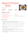## Sweet Potato Rolls

from Beth Jarrett

prep time cook time 90 mins 15 mins

#### things you need

1 pkg active dry yeast 1 tbsp white sugar 1/2 c warm water (110 degrees) 3 tbsp light brown sugar 3/4 c sweet potato 3 tbsp butter, softened

serves makes 16 rolls

1 tsp salt 2 eggs 3 1/2 c flour I use a mix of AP flour and whole wheat flour

- 1 Cut slices into the sweet potato, place on parchment paper and put in a cold oven set to 425 degrees. Turn the potato after 30 minutes and cook until soft.
- 2 Dissolve yeast, warm water and 1 tbsp white sugar in mixing bowl for 10 minutes so the yeast can bloom.
- 3 Add the light brown sugar, sweet potato, butter, salt and slightly beaten eggs and stir to mix well.
- 4 Add flour in gradually and mix until 3 cups are added and then knead for 3 minutes and shape into a ball.
- 5 Put dough in a oiled bowl, cover and let rise for 1 hour or longer.
- 6 Punch the dough down and let rest for 2 minutes. Divide into 16 balls and place inside a greased 9X13 pan. Allow to rise until doubled.
- 7 Bake at 375 degrees for 15 minutes. When they come out of the oven put butter on top of the rolls and serve warm!

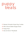# puppy treats

- 67 Bowser's Pumpkin Ginger Dog Cookies
- 68 Milo's Peanut Butter Doggie Treats
- 69 Puppy Pops
- 70 Second Hand 7 Meatballs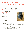## Bowser's Pumpkin Ginger Dog Cookies

from Krista Hart

prep time

20 mins 20 - 25 mins lots of puppies cook time serves

#### things you need

2 c millet or almond flour any gluten-free flour will do 1 tsp freshly minced ginger (or 2 tsp dry ginger)

1/2 c unsweetened canned pumpkin NOT pumpkin pie filling

1/4 c unsweetened applesauce

1 tbsp coconut oil, melted spoonful of honey

#### here's how

- 1 Preheat oven to 325 degrees.
- 2 Combine pumpkin, applesauce, coconut oil and honey. Add the flour and ginger into the pumpkin mixture and mix until crumbly.
- 3 If dough is too dry, add water or more applesauce slowly. If dough is to wet, add more flour slowly.
- 4 Spoon batter on a non-stick baking sheet two inches apart.
- 5 Bake until bottoms are lightly browned 20/25 minutes. Cookies will be soft.
- 6 Cool on a wire rack. Store in airtight container in fridge or freezer.

#### helpful notes

Great for dogs with sensitive stomachs and a perfect snack before bed!

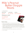## Milo's Peanut **Butter Doggie** Treats

from Kathy Remetta

prep time cook time serves 20 mins 20 - 25 mins lots of puppies

things you need

2/3 c pumpkin puree 1/4 c peanut butter 2 lg eggs 2 1/2 - 3 c whole wheat flour



- 1 Preheat oven to 325 degrees. Line a baking sheet with parchment paper.
- $2<sub>1</sub>$  In a bowl, beat the pumpkin puree, peanut butter and eggs on medium-high until well combined, about 1-2 minutes. Gradually add 2 1/2 cups flour at low speed, beating just until incorporated. Add an additional 1/4 cup of flour at a time until the dough is no longer sticky.
- 3 Working on a lightly floured surface, knead the dough 3-4 times until it comes together. Using a rolling pin, roll the dough to 1/4" thickness. Using cookie cutters, cut out desired shapes and place onto the prepared baking sheet.
- 4 Place into oven and bake until the edges are golden brown, about 20-25 minutes.
- 5 Let cool completely.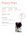## Puppy Pops

from Kathy Remetta (from my sister Caela's recipes)

prep time 5 mins + 1 hr freeze time

cook time time

1 hr freeze Lots of puppies serves

#### things you need bananas

#### here's how

- 1 Freeze bananas then mix in blender.
- $2<sub>2</sub>$  Shape them or put in molds and freeze again until firm.

### helpful notes

Careful not to over mix or they will melt very quickly.

Bimini's favorite snack!